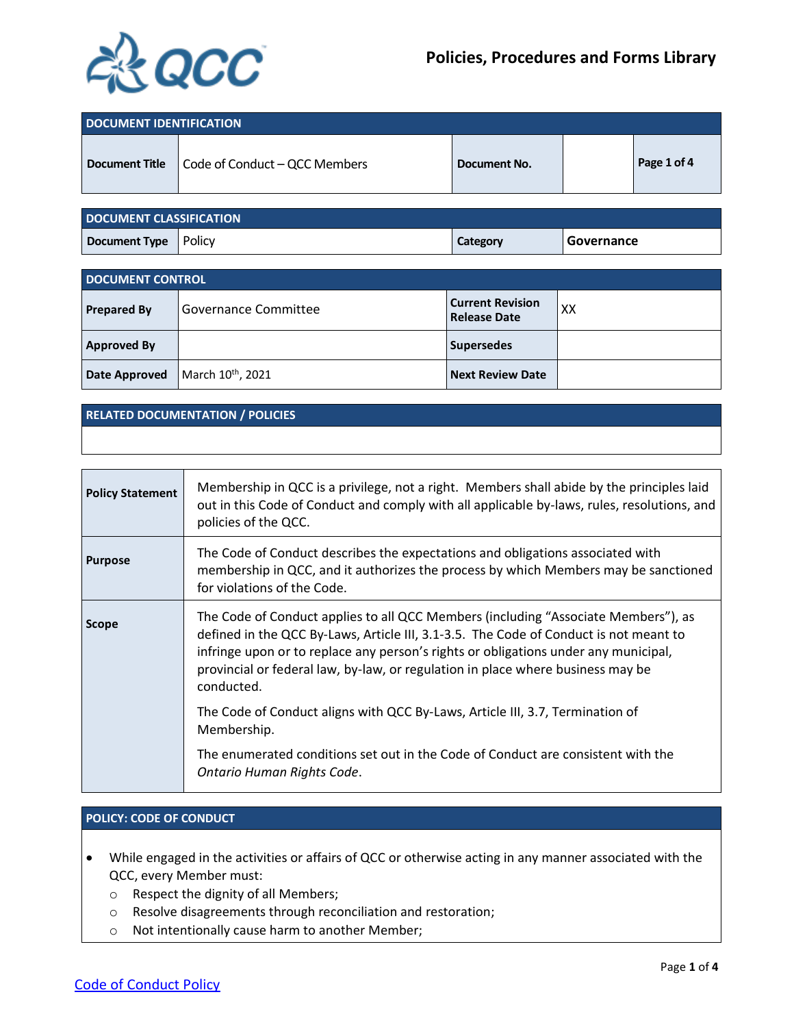

| DOCUMENT IDENTIFICATION |                                                       |              |             |
|-------------------------|-------------------------------------------------------|--------------|-------------|
|                         | <b>Document Title</b>   Code of Conduct – QCC Members | Document No. | Page 1 of 4 |

| <b>DOCUMENT CLASSIFICATION</b> |  |          |            |
|--------------------------------|--|----------|------------|
| Document Type   Policy         |  | Category | Governance |

| <b>DOCUMENT CONTROL</b> |                               |                                                |    |
|-------------------------|-------------------------------|------------------------------------------------|----|
| <b>Prepared By</b>      | Governance Committee          | <b>Current Revision</b><br><b>Release Date</b> | XX |
| <b>Approved By</b>      |                               | <b>Supersedes</b>                              |    |
| Date Approved           | March 10 <sup>th</sup> , 2021 | <b>Next Review Date</b>                        |    |

#### **RELATED DOCUMENTATION / POLICIES**

| <b>Policy Statement</b> | Membership in QCC is a privilege, not a right. Members shall abide by the principles laid<br>out in this Code of Conduct and comply with all applicable by-laws, rules, resolutions, and<br>policies of the QCC.                                                                                                                                                    |
|-------------------------|---------------------------------------------------------------------------------------------------------------------------------------------------------------------------------------------------------------------------------------------------------------------------------------------------------------------------------------------------------------------|
| <b>Purpose</b>          | The Code of Conduct describes the expectations and obligations associated with<br>membership in QCC, and it authorizes the process by which Members may be sanctioned<br>for violations of the Code.                                                                                                                                                                |
| <b>Scope</b>            | The Code of Conduct applies to all QCC Members (including "Associate Members"), as<br>defined in the QCC By-Laws, Article III, 3.1-3.5. The Code of Conduct is not meant to<br>infringe upon or to replace any person's rights or obligations under any municipal,<br>provincial or federal law, by-law, or regulation in place where business may be<br>conducted. |
|                         | The Code of Conduct aligns with QCC By-Laws, Article III, 3.7, Termination of<br>Membership.                                                                                                                                                                                                                                                                        |
|                         | The enumerated conditions set out in the Code of Conduct are consistent with the<br>Ontario Human Rights Code.                                                                                                                                                                                                                                                      |

#### **POLICY: CODE OF CONDUCT**

- While engaged in the activities or affairs of QCC or otherwise acting in any manner associated with the QCC, every Member must:
	- o Respect the dignity of all Members;
	- o Resolve disagreements through reconciliation and restoration;
	- o Not intentionally cause harm to another Member;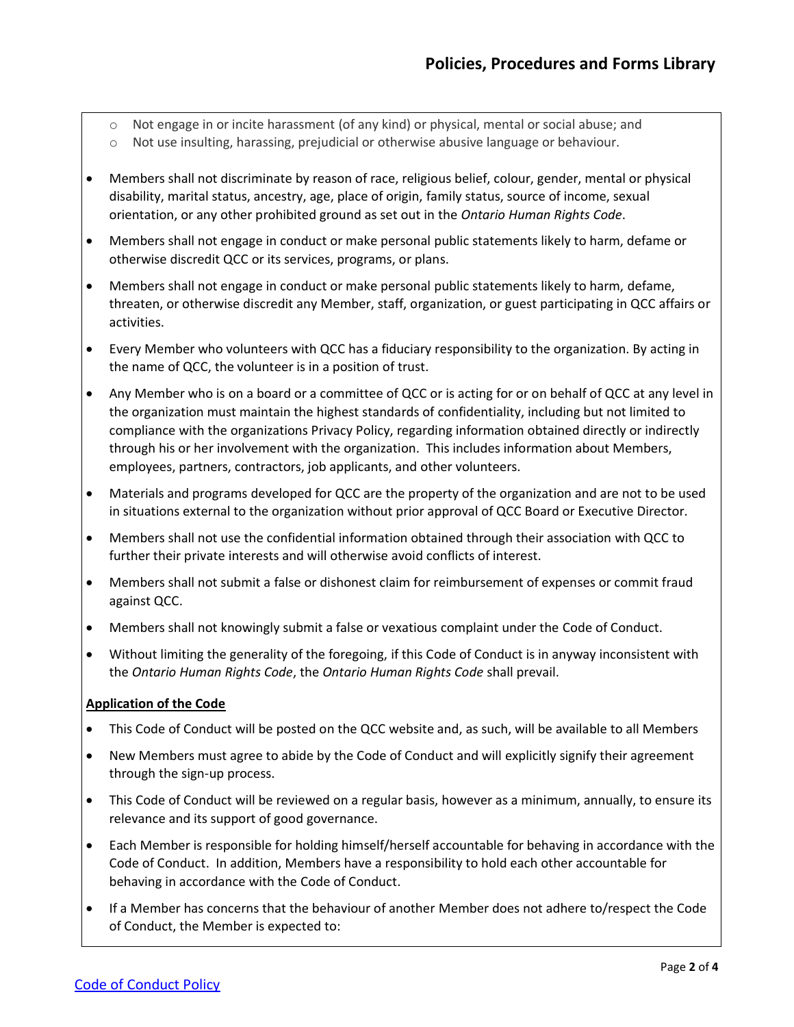- o Not engage in or incite harassment (of any kind) or physical, mental or social abuse; and
- o Not use insulting, harassing, prejudicial or otherwise abusive language or behaviour.
- Members shall not discriminate by reason of race, religious belief, colour, gender, mental or physical disability, marital status, ancestry, age, place of origin, family status, source of income, sexual orientation, or any other prohibited ground as set out in the *Ontario Human Rights Code*.
- Members shall not engage in conduct or make personal public statements likely to harm, defame or otherwise discredit QCC or its services, programs, or plans.
- Members shall not engage in conduct or make personal public statements likely to harm, defame, threaten, or otherwise discredit any Member, staff, organization, or guest participating in QCC affairs or activities.
- Every Member who volunteers with QCC has a fiduciary responsibility to the organization. By acting in the name of QCC, the volunteer is in a position of trust.
- Any Member who is on a board or a committee of QCC or is acting for or on behalf of QCC at any level in the organization must maintain the highest standards of confidentiality, including but not limited to compliance with the organizations Privacy Policy, regarding information obtained directly or indirectly through his or her involvement with the organization. This includes information about Members, employees, partners, contractors, job applicants, and other volunteers.
- Materials and programs developed for QCC are the property of the organization and are not to be used in situations external to the organization without prior approval of QCC Board or Executive Director.
- Members shall not use the confidential information obtained through their association with QCC to further their private interests and will otherwise avoid conflicts of interest.
- Members shall not submit a false or dishonest claim for reimbursement of expenses or commit fraud against QCC.
- Members shall not knowingly submit a false or vexatious complaint under the Code of Conduct.
- Without limiting the generality of the foregoing, if this Code of Conduct is in anyway inconsistent with the *Ontario Human Rights Code*, the *Ontario Human Rights Code* shall prevail.

# **Application of the Code**

- This Code of Conduct will be posted on the QCC website and, as such, will be available to all Members
- New Members must agree to abide by the Code of Conduct and will explicitly signify their agreement through the sign-up process.
- This Code of Conduct will be reviewed on a regular basis, however as a minimum, annually, to ensure its relevance and its support of good governance.
- Each Member is responsible for holding himself/herself accountable for behaving in accordance with the Code of Conduct. In addition, Members have a responsibility to hold each other accountable for behaving in accordance with the Code of Conduct.
- If a Member has concerns that the behaviour of another Member does not adhere to/respect the Code of Conduct, the Member is expected to: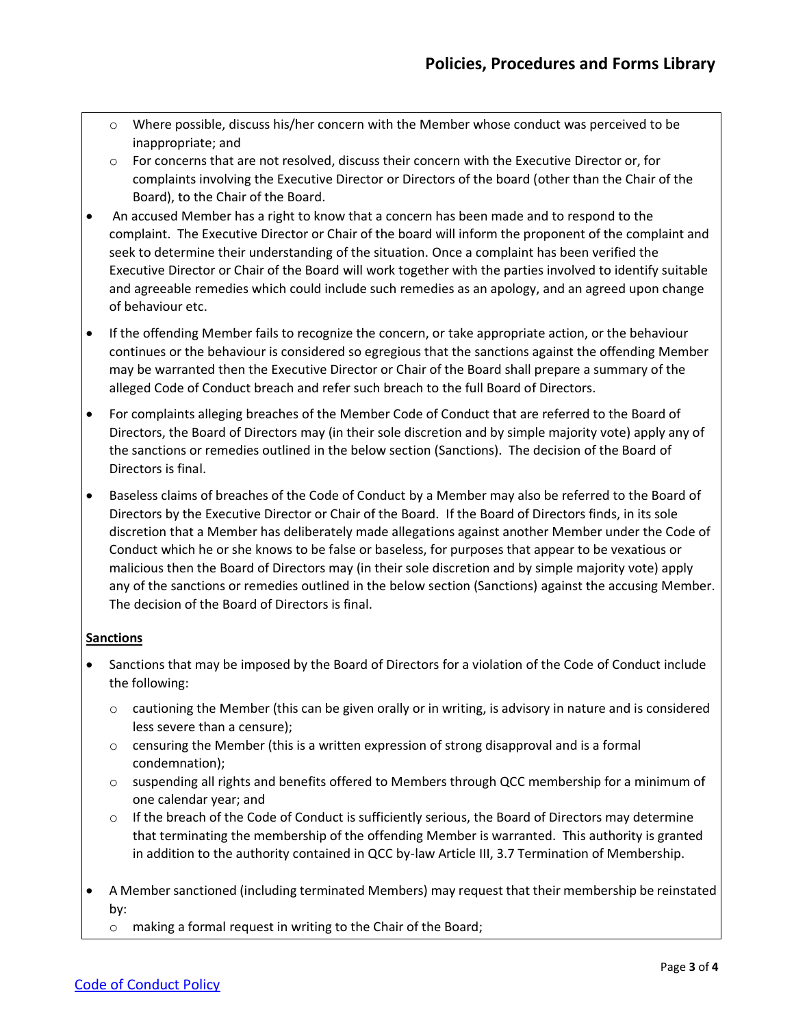- o Where possible, discuss his/her concern with the Member whose conduct was perceived to be inappropriate; and
- o For concerns that are not resolved, discuss their concern with the Executive Director or, for complaints involving the Executive Director or Directors of the board (other than the Chair of the Board), to the Chair of the Board.
- An accused Member has a right to know that a concern has been made and to respond to the complaint. The Executive Director or Chair of the board will inform the proponent of the complaint and seek to determine their understanding of the situation. Once a complaint has been verified the Executive Director or Chair of the Board will work together with the parties involved to identify suitable and agreeable remedies which could include such remedies as an apology, and an agreed upon change of behaviour etc.
- If the offending Member fails to recognize the concern, or take appropriate action, or the behaviour continues or the behaviour is considered so egregious that the sanctions against the offending Member may be warranted then the Executive Director or Chair of the Board shall prepare a summary of the alleged Code of Conduct breach and refer such breach to the full Board of Directors.
- For complaints alleging breaches of the Member Code of Conduct that are referred to the Board of Directors, the Board of Directors may (in their sole discretion and by simple majority vote) apply any of the sanctions or remedies outlined in the below section (Sanctions). The decision of the Board of Directors is final.
- Baseless claims of breaches of the Code of Conduct by a Member may also be referred to the Board of Directors by the Executive Director or Chair of the Board. If the Board of Directors finds, in its sole discretion that a Member has deliberately made allegations against another Member under the Code of Conduct which he or she knows to be false or baseless, for purposes that appear to be vexatious or malicious then the Board of Directors may (in their sole discretion and by simple majority vote) apply any of the sanctions or remedies outlined in the below section (Sanctions) against the accusing Member. The decision of the Board of Directors is final.

# **Sanctions**

- Sanctions that may be imposed by the Board of Directors for a violation of the Code of Conduct include the following:
	- o cautioning the Member (this can be given orally or in writing, is advisory in nature and is considered less severe than a censure);
	- o censuring the Member (this is a written expression of strong disapproval and is a formal condemnation);
	- o suspending all rights and benefits offered to Members through QCC membership for a minimum of one calendar year; and
	- $\circ$  If the breach of the Code of Conduct is sufficiently serious, the Board of Directors may determine that terminating the membership of the offending Member is warranted. This authority is granted in addition to the authority contained in QCC by-law Article III, 3.7 Termination of Membership.
- A Member sanctioned (including terminated Members) may request that their membership be reinstated by:
	- o making a formal request in writing to the Chair of the Board;